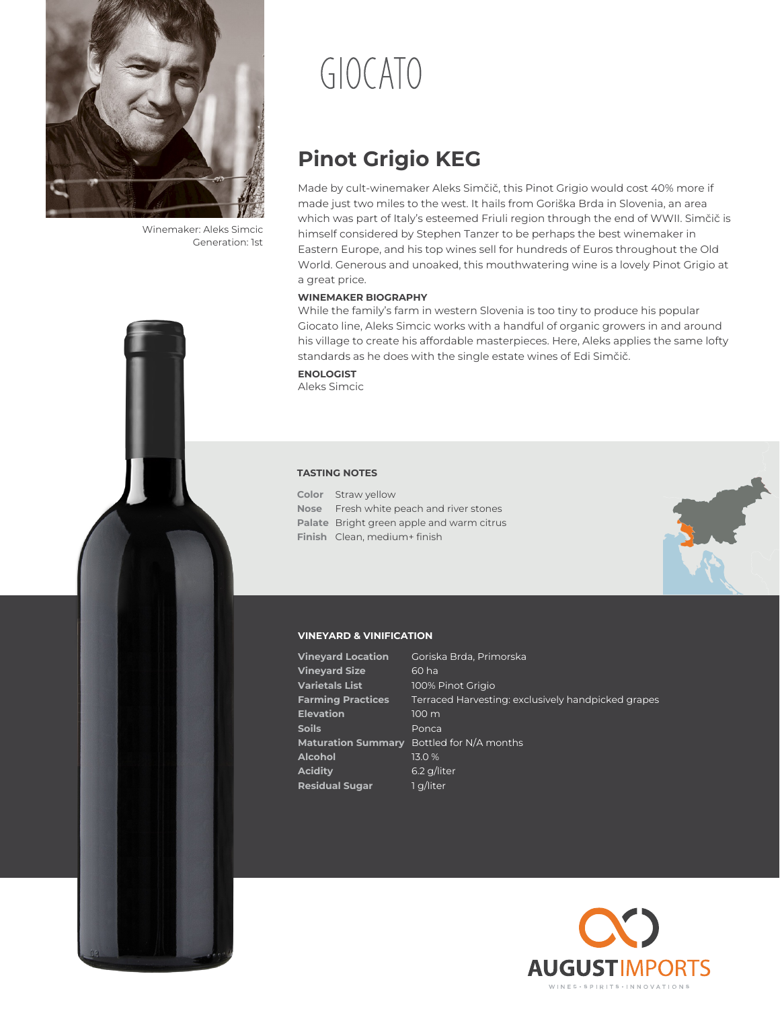

Winemaker: Aleks Simcic Generation: 1st

# GIOCATO

# **Pinot Grigio KEG**

Made by cult-winemaker Aleks Simčič, this Pinot Grigio would cost 40% more if made just two miles to the west. It hails from Goriška Brda in Slovenia, an area which was part of Italy's esteemed Friuli region through the end of WWII. Simčič is himself considered by Stephen Tanzer to be perhaps the best winemaker in Eastern Europe, and his top wines sell for hundreds of Euros throughout the Old World. Generous and unoaked, this mouthwatering wine is a lovely Pinot Grigio at a great price.

#### **WINEMAKER BIOGRAPHY**

While the family's farm in western Slovenia is too tiny to produce his popular Giocato line, Aleks Simcic works with a handful of organic growers in and around his village to create his affordable masterpieces. Here, Aleks applies the same lofty standards as he does with the single estate wines of Edi Simčič.

**ENOLOGIST** Aleks Simcic

#### **TASTING NOTES**

**Color** Straw yellow **Nose** Fresh white peach and river stones **Palate** Bright green apple and warm citrus **Finish** Clean, medium+ finish



#### **VINEYARD & VINIFICATION**

| <b>Vineyard Location</b>  | Goriska Brda, Primorska                            |
|---------------------------|----------------------------------------------------|
| <b>Vineyard Size</b>      | 60 ha                                              |
| <b>Varietals List</b>     | 100% Pinot Grigio                                  |
| <b>Farming Practices</b>  | Terraced Harvesting: exclusively handpicked grapes |
| <b>Elevation</b>          | 100 <sub>m</sub>                                   |
| Soils                     | Ponca                                              |
| <b>Maturation Summary</b> | Bottled for N/A months                             |
| Alcohol                   | 13.0%                                              |
| Acidity                   | 6.2 g/liter                                        |
| <b>Residual Sugar</b>     | 1 g/liter                                          |
|                           |                                                    |